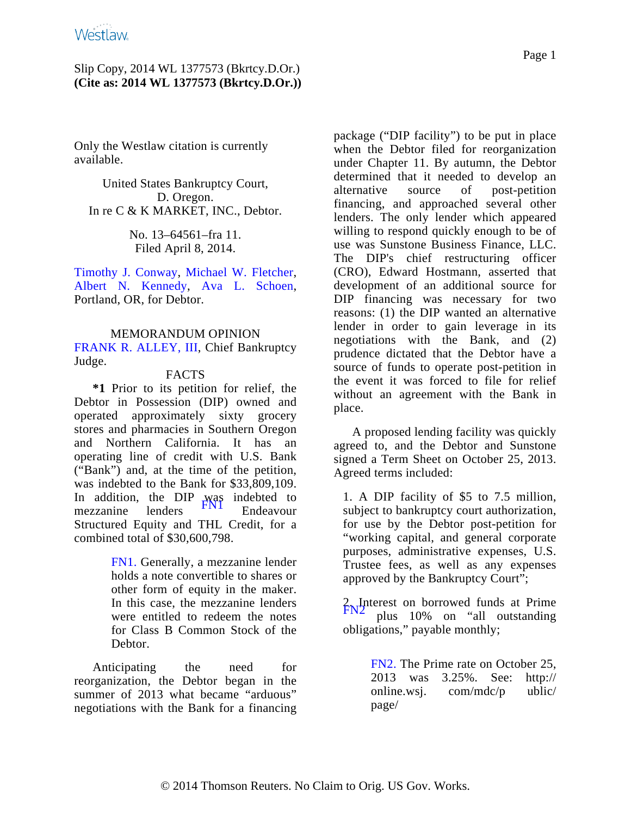Only the Westlaw citation is currently available.

United States Bankruptcy Court, D. Oregon. In re C & K MARKET, INC., Debtor.

> No. 13–64561–fra 11. Filed April 8, 2014.

[Timothy J. Conwa](http://www.westlaw.com/Find/Default.wl?rs=dfa1.0&vr=2.0&DB=PROFILER-WLD&DocName=0209233001&FindType=h)y, [Michael W. Fletche](http://www.westlaw.com/Find/Default.wl?rs=dfa1.0&vr=2.0&DB=PROFILER-WLD&DocName=0328268601&FindType=h)r, [Albert N. Kenn](http://www.westlaw.com/Find/Default.wl?rs=dfa1.0&vr=2.0&DB=PROFILER-WLD&DocName=0108930901&FindType=h)edy, [Ava L. Sch](http://www.westlaw.com/Find/Default.wl?rs=dfa1.0&vr=2.0&DB=PROFILER-WLD&DocName=0359487701&FindType=h)oen, Portland, OR, for Debtor.

MEMORANDUM OPINION [FRANK R. ALLEY, II](http://www.westlaw.com/Find/Default.wl?rs=dfa1.0&vr=2.0&DB=PROFILER-WLD&DocName=0121490001&FindType=h)I, Chief Bankruptcy Judge.

### FACTS

**\*1** Prior to its petition for relief, the Debtor in Possession (DIP) owned and operated approximately sixty grocery stores and pharmacies in Southern Oregon and Northern California. It has an operating line of credit with U.S. Bank ("Bank") and, at the time of the petition, was indebted to the Bank for \$33,809,109. In addition, the DIP was indebted to<br>mezzanine lenders [FN1](#page-0-0) Endeavour Structured Equity and THL Credit, for a combined total of \$30,600,798.

> <span id="page-0-1"></span><span id="page-0-0"></span>[FN1.](#page-0-1) Generally, a mezzanine lender holds a note convertible to shares or other form of equity in the maker. In this case, the mezzanine lenders were entitled to redeem the notes for Class B Common Stock of the Debtor.

<span id="page-0-3"></span><span id="page-0-2"></span>Anticipating the need for reorganization, the Debtor began in the summer of 2013 what became "arduous" negotiations with the Bank for a financing package ("DIP facility") to be put in place when the Debtor filed for reorganization under Chapter 11. By autumn, the Debtor determined that it needed to develop an alternative source of post-petition financing, and approached several other lenders. The only lender which appeared willing to respond quickly enough to be of use was Sunstone Business Finance, LLC. The DIP's chief restructuring officer (CRO), Edward Hostmann, asserted that development of an additional source for DIP financing was necessary for two reasons: (1) the DIP wanted an alternative lender in order to gain leverage in its negotiations with the Bank, and (2) prudence dictated that the Debtor have a source of funds to operate post-petition in the event it was forced to file for relief without an agreement with the Bank in place.

A proposed lending facility was quickly agreed to, and the Debtor and Sunstone signed a Term Sheet on October 25, 2013. Agreed terms included:

1. A DIP facility of \$5 to 7.5 million, subject to bankruptcy court authorization, for use by the Debtor post-petition for "working capital, and general corporate purposes, administrative expenses, U.S. Trustee fees, as well as any expenses approved by the Bankruptcy Court";

2. Interest on borrowed funds at Prime<br>[FN2](#page-0-2) plus 10% on "all outstanding" obligations," payable monthly;

> [FN2.](#page-0-3) The Prime rate on October 25, 2013 was 3.25%. See: http:// online.wsj. com/mdc/p ublic/ page/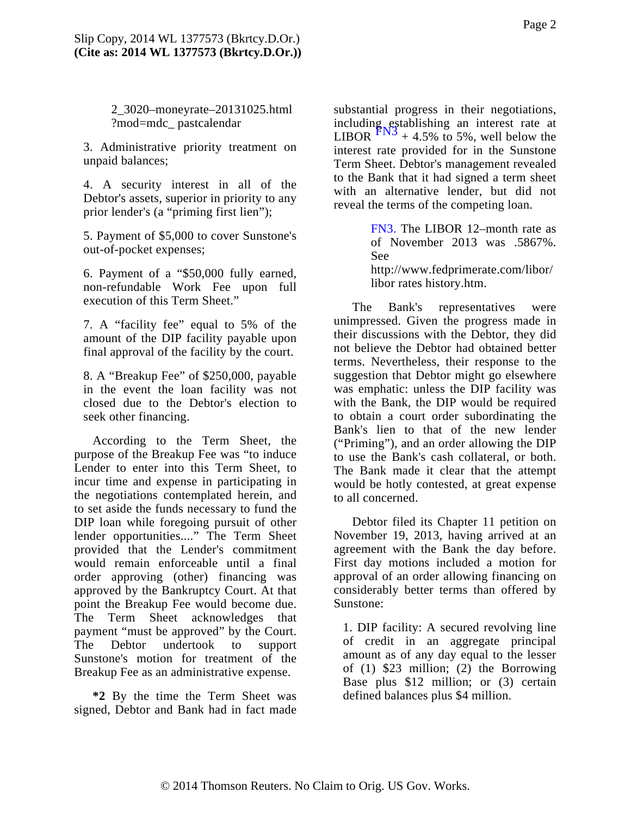2\_3020–moneyrate–20131025.html ?mod=mdc\_ pastcalendar

<span id="page-1-1"></span>3. Administrative priority treatment on unpaid balances;

4. A security interest in all of the Debtor's assets, superior in priority to any prior lender's (a "priming first lien");

<span id="page-1-0"></span>5. Payment of \$5,000 to cover Sunstone's out-of-pocket expenses;

6. Payment of a "\$50,000 fully earned, non-refundable Work Fee upon full execution of this Term Sheet."

7. A "facility fee" equal to 5% of the amount of the DIP facility payable upon final approval of the facility by the court.

8. A "Breakup Fee" of \$250,000, payable in the event the loan facility was not closed due to the Debtor's election to seek other financing.

According to the Term Sheet, the purpose of the Breakup Fee was "to induce Lender to enter into this Term Sheet, to incur time and expense in participating in the negotiations contemplated herein, and to set aside the funds necessary to fund the DIP loan while foregoing pursuit of other lender opportunities...." The Term Sheet provided that the Lender's commitment would remain enforceable until a final order approving (other) financing was approved by the Bankruptcy Court. At that point the Breakup Fee would become due. The Term Sheet acknowledges that payment "must be approved" by the Court. The Debtor undertook to support Sunstone's motion for treatment of the Breakup Fee as an administrative expense.

**\*2** By the time the Term Sheet was signed, Debtor and Bank had in fact made

substantial progress in their negotiations, including establishing an interest rate at<br>LIBOR  $\frac{FN3}{+}$  $\frac{FN3}{+}$  $\frac{FN3}{+}$  4.5% to 5%, well below the interest rate provided for in the Sunstone Term Sheet. Debtor's management revealed to the Bank that it had signed a term sheet with an alternative lender, but did not reveal the terms of the competing loan.

> [FN3.](#page-1-1) The LIBOR 12–month rate as of November 2013 was .5867%. See http://www.fedprimerate.com/libor/ libor rates history.htm.

The Bank's representatives were unimpressed. Given the progress made in their discussions with the Debtor, they did not believe the Debtor had obtained better terms. Nevertheless, their response to the suggestion that Debtor might go elsewhere was emphatic: unless the DIP facility was with the Bank, the DIP would be required to obtain a court order subordinating the Bank's lien to that of the new lender ("Priming"), and an order allowing the DIP to use the Bank's cash collateral, or both. The Bank made it clear that the attempt would be hotly contested, at great expense to all concerned.

Debtor filed its Chapter 11 petition on November 19, 2013, having arrived at an agreement with the Bank the day before. First day motions included a motion for approval of an order allowing financing on considerably better terms than offered by Sunstone:

1. DIP facility: A secured revolving line of credit in an aggregate principal amount as of any day equal to the lesser of (1) \$23 million; (2) the Borrowing Base plus \$12 million; or (3) certain defined balances plus \$4 million.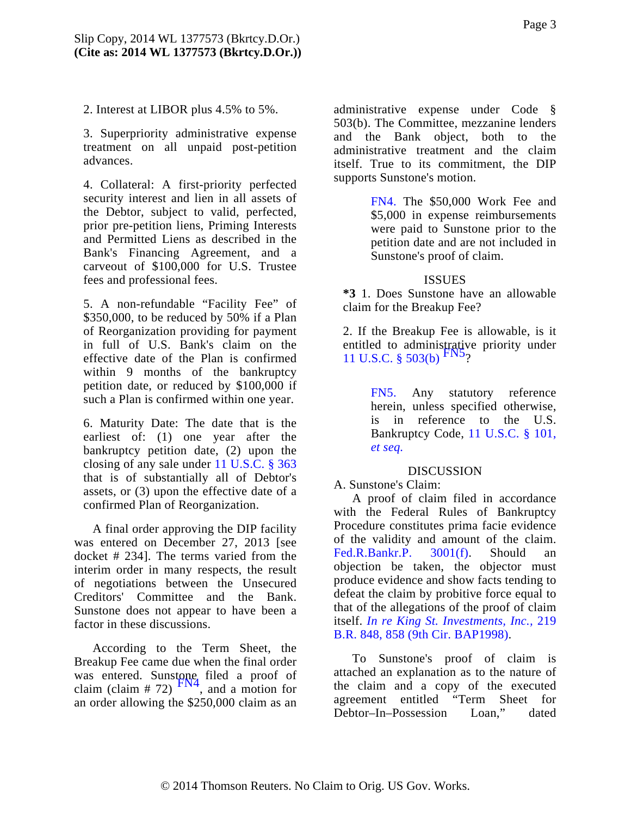2. Interest at LIBOR plus 4.5% to 5%.

3. Superpriority administrative expense treatment on all unpaid post-petition advances.

<span id="page-2-0"></span>4. Collateral: A first-priority perfected security interest and lien in all assets of the Debtor, subject to valid, perfected, prior pre-petition liens, Priming Interests and Permitted Liens as described in the Bank's Financing Agreement, and a carveout of \$100,000 for U.S. Trustee fees and professional fees.

<span id="page-2-3"></span>5. A non-refundable "Facility Fee" of \$350,000, to be reduced by 50% if a Plan of Reorganization providing for payment in full of U.S. Bank's claim on the effective date of the Plan is confirmed within 9 months of the bankruptcy petition date, or reduced by \$100,000 if such a Plan is confirmed within one year.

<span id="page-2-2"></span>6. Maturity Date: The date that is the earliest of: (1) one year after the bankruptcy petition date, (2) upon the closing of any sale under [11 U.S.C. § 363](http://www.westlaw.com/Find/Default.wl?rs=dfa1.0&vr=2.0&DB=1000546&DocName=11USCAS363&FindType=L) that is of substantially all of Debtor's assets, or (3) upon the effective date of a confirmed Plan of Reorganization.

A final order approving the DIP facility was entered on December 27, 2013 [see docket # 234]. The terms varied from the interim order in many respects, the result of negotiations between the Unsecured Creditors' Committee and the Bank. Sunstone does not appear to have been a factor in these discussions.

<span id="page-2-1"></span>According to the Term Sheet, the Breakup Fee came due when the final order was entered. Sunstone filed a proof of claim (claim # 72)  $\frac{FN4}{FN4}$  $\frac{FN4}{FN4}$  $\frac{FN4}{FN4}$ , and a motion for an order allowing the \$250,000 claim as an

administrative expense under Code § 503(b). The Committee, mezzanine lenders and the Bank object, both to the administrative treatment and the claim itself. True to its commitment, the DIP supports Sunstone's motion.

> [FN4.](#page-2-1) The \$50,000 Work Fee and \$5,000 in expense reimbursements were paid to Sunstone prior to the petition date and are not included in Sunstone's proof of claim.

### **ISSUES**

**\*3** 1. Does Sunstone have an allowable claim for the Breakup Fee?

2. If the Breakup Fee is allowable, is it entitled to administrative priority under [11 U.S.C. § 503\(b\)](http://www.westlaw.com/Find/Default.wl?rs=dfa1.0&vr=2.0&DB=1000546&DocName=11USCAS503&FindType=L&ReferencePositionType=T&ReferencePosition=SP_a83b000018c76)  $\frac{FN3}{2}$ 

> [FN5.](#page-2-3) Any statutory reference herein, unless specified otherwise, is in reference to the U.S. Bankruptcy Code, [11 U.S.C. § 101,](http://www.westlaw.com/Find/Default.wl?rs=dfa1.0&vr=2.0&DB=1000546&DocName=11USCAS101&FindType=L) *[et seq.](http://www.westlaw.com/Find/Default.wl?rs=dfa1.0&vr=2.0&DB=1000546&DocName=11USCAS101&FindType=L)*

### DISCUSSION

A. Sunstone's Claim:

A proof of claim filed in accordance with the Federal Rules of Bankruptcy Procedure constitutes prima facie evidence of the validity and amount of the claim. [Fed.R.Bankr.P. 3001](http://www.westlaw.com/Find/Default.wl?rs=dfa1.0&vr=2.0&DB=1004365&DocName=USFRBPR3001&FindType=L)(f). Should an objection be taken, the objector must produce evidence and show facts tending to defeat the claim by probitive force equal to that of the allegations of the proof of claim itself. *[In re King St. Investments, Inc.,](http://www.westlaw.com/Find/Default.wl?rs=dfa1.0&vr=2.0&DB=164&FindType=Y&ReferencePositionType=S&SerialNum=1998082995&ReferencePosition=858)* 219 [B.R. 848, 858 \(9th Cir. BAP1998\)](http://www.westlaw.com/Find/Default.wl?rs=dfa1.0&vr=2.0&DB=164&FindType=Y&ReferencePositionType=S&SerialNum=1998082995&ReferencePosition=858).

To Sunstone's proof of claim is attached an explanation as to the nature of the claim and a copy of the executed agreement entitled "Term Sheet for Debtor–In–Possession Loan," dated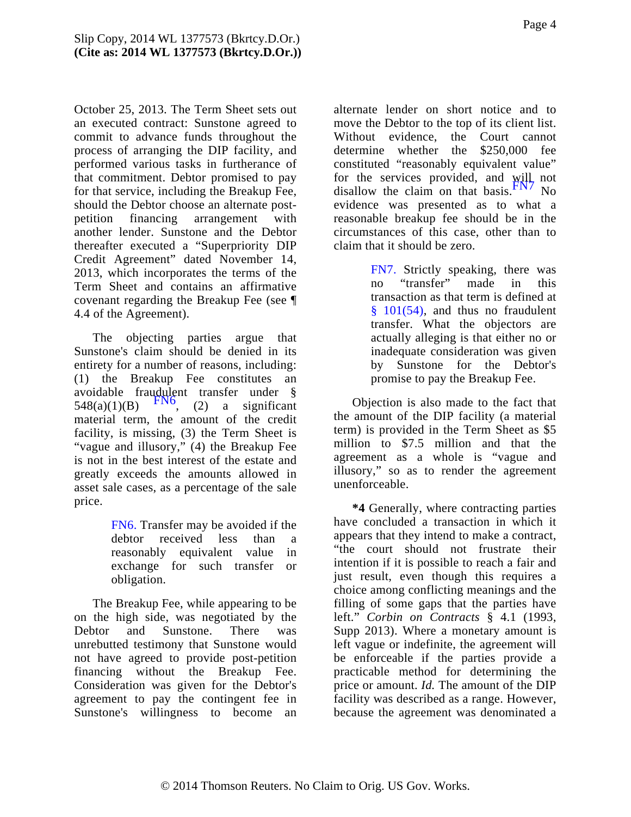<span id="page-3-3"></span>October 25, 2013. The Term Sheet sets out an executed contract: Sunstone agreed to commit to advance funds throughout the process of arranging the DIP facility, and performed various tasks in furtherance of that commitment. Debtor promised to pay for that service, including the Breakup Fee, should the Debtor choose an alternate postpetition financing arrangement with another lender. Sunstone and the Debtor thereafter executed a "Superpriority DIP Credit Agreement" dated November 14, 2013, which incorporates the terms of the Term Sheet and contains an affirmative covenant regarding the Breakup Fee (see ¶ 4.4 of the Agreement).

<span id="page-3-2"></span><span id="page-3-1"></span>The objecting parties argue that Sunstone's claim should be denied in its entirety for a number of reasons, including: (1) the Breakup Fee constitutes an avoidable fraudulent transfer under §  $548(a)(1)(B)$  [FN6](#page-3-0), (2) a significant material term, the amount of the credit facility, is missing, (3) the Term Sheet is "vague and illusory," (4) the Breakup Fee is not in the best interest of the estate and greatly exceeds the amounts allowed in asset sale cases, as a percentage of the sale price.

> <span id="page-3-0"></span>[FN6.](#page-3-1) Transfer may be avoided if the debtor received less than a reasonably equivalent value in exchange for such transfer or obligation.

The Breakup Fee, while appearing to be on the high side, was negotiated by the Debtor and Sunstone. There was unrebutted testimony that Sunstone would not have agreed to provide post-petition financing without the Breakup Fee. Consideration was given for the Debtor's agreement to pay the contingent fee in Sunstone's willingness to become an

alternate lender on short notice and to move the Debtor to the top of its client list. Without evidence, the Court cannot determine whether the \$250,000 fee constituted "reasonably equivalent value" for the services provided, and will not disallow the claim on that [basis.](#page-3-2) $\frac{FN}{TN}$  No evidence was presented as to what a reasonable breakup fee should be in the circumstances of this case, other than to claim that it should be zero.

> [FN7.](#page-3-3) Strictly speaking, there was no "transfer" made in this transaction as that term is defined at [§ 101\(54](http://www.westlaw.com/Find/Default.wl?rs=dfa1.0&vr=2.0&DB=1000546&DocName=11USCAS101&FindType=L&ReferencePositionType=T&ReferencePosition=SP_a8970000b8231)), and thus no fraudulent transfer. What the objectors are actually alleging is that either no or inadequate consideration was given by Sunstone for the Debtor's promise to pay the Breakup Fee.

Objection is also made to the fact that the amount of the DIP facility (a material term) is provided in the Term Sheet as \$5 million to \$7.5 million and that the agreement as a whole is "vague and illusory," so as to render the agreement unenforceable.

**\*4** Generally, where contracting parties have concluded a transaction in which it appears that they intend to make a contract, "the court should not frustrate their intention if it is possible to reach a fair and just result, even though this requires a choice among conflicting meanings and the filling of some gaps that the parties have left." *Corbin on Contracts* § 4.1 (1993, Supp 2013). Where a monetary amount is left vague or indefinite, the agreement will be enforceable if the parties provide a practicable method for determining the price or amount. *Id.* The amount of the DIP facility was described as a range. However, because the agreement was denominated a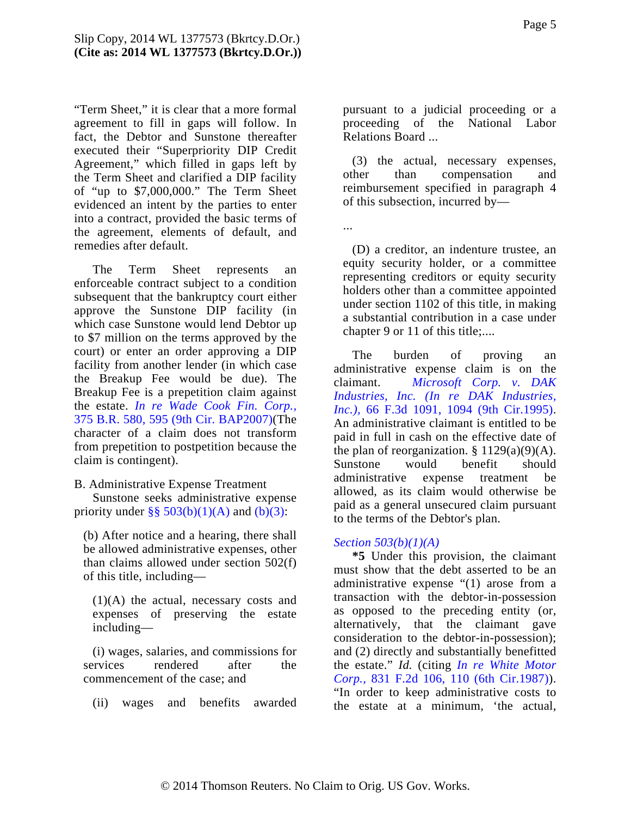"Term Sheet," it is clear that a more formal agreement to fill in gaps will follow. In fact, the Debtor and Sunstone thereafter executed their "Superpriority DIP Credit Agreement," which filled in gaps left by the Term Sheet and clarified a DIP facility of "up to \$7,000,000." The Term Sheet evidenced an intent by the parties to enter into a contract, provided the basic terms of the agreement, elements of default, and remedies after default.

The Term Sheet represents an enforceable contract subject to a condition subsequent that the bankruptcy court either approve the Sunstone DIP facility (in which case Sunstone would lend Debtor up to \$7 million on the terms approved by the court) or enter an order approving a DIP facility from another lender (in which case the Breakup Fee would be due). The Breakup Fee is a prepetition claim against the estate. *[In re Wade Cook Fin. Corp.,](http://www.westlaw.com/Find/Default.wl?rs=dfa1.0&vr=2.0&DB=164&FindType=Y&ReferencePositionType=S&SerialNum=2013467574&ReferencePosition=595)* [375 B.R. 580, 595 \(9th Cir. BAP2007](http://www.westlaw.com/Find/Default.wl?rs=dfa1.0&vr=2.0&DB=164&FindType=Y&ReferencePositionType=S&SerialNum=2013467574&ReferencePosition=595))(The character of a claim does not transform from prepetition to postpetition because the claim is contingent).

B. Administrative Expense Treatment

Sunstone seeks administrative expense priority under  $\S$ § 503(b)(1)(A) and [\(b\)\(3\)](http://www.westlaw.com/Find/Default.wl?rs=dfa1.0&vr=2.0&DB=1000546&DocName=11USCAS503&FindType=L&ReferencePositionType=T&ReferencePosition=SP_d801000002763):

(b) After notice and a hearing, there shall be allowed administrative expenses, other than claims allowed under section 502(f) of this title, including—

(1)(A) the actual, necessary costs and expenses of preserving the estate including—

(i) wages, salaries, and commissions for services rendered after the commencement of the case; and

(ii) wages and benefits awarded

pursuant to a judicial proceeding or a proceeding of the National Labor Relations Board ...

(3) the actual, necessary expenses, other than compensation and reimbursement specified in paragraph 4 of this subsection, incurred by—

...

(D) a creditor, an indenture trustee, an equity security holder, or a committee representing creditors or equity security holders other than a committee appointed under section 1102 of this title, in making a substantial contribution in a case under chapter 9 or 11 of this title;....

The burden of proving an administrative expense claim is on the claimant. *[Microsoft Corp. v. D](http://www.westlaw.com/Find/Default.wl?rs=dfa1.0&vr=2.0&DB=506&FindType=Y&ReferencePositionType=S&SerialNum=1995196536&ReferencePosition=1094)AK [Industries, Inc. \(In re DAK Indus](http://www.westlaw.com/Find/Default.wl?rs=dfa1.0&vr=2.0&DB=506&FindType=Y&ReferencePositionType=S&SerialNum=1995196536&ReferencePosition=1094)tries, [Inc.\),](http://www.westlaw.com/Find/Default.wl?rs=dfa1.0&vr=2.0&DB=506&FindType=Y&ReferencePositionType=S&SerialNum=1995196536&ReferencePosition=1094)* [66 F.3d 1091, 1094 \(9th Cir.19](http://www.westlaw.com/Find/Default.wl?rs=dfa1.0&vr=2.0&DB=506&FindType=Y&ReferencePositionType=S&SerialNum=1995196536&ReferencePosition=1094)95). An administrative claimant is entitled to be paid in full in cash on the effective date of the plan of reorganization.  $§ 1129(a)(9)(A)$ . Sunstone would benefit should administrative expense treatment be allowed, as its claim would otherwise be paid as a general unsecured claim pursuant to the terms of the Debtor's plan.

#### *[Section 503\(b\)\(1\)\(A\)](http://www.westlaw.com/Find/Default.wl?rs=dfa1.0&vr=2.0&DB=1000546&DocName=11USCAS503&FindType=L&ReferencePositionType=T&ReferencePosition=SP_8b16000077793)*

**\*5** Under this provision, the claimant must show that the debt asserted to be an administrative expense "(1) arose from a transaction with the debtor-in-possession as opposed to the preceding entity (or, alternatively, that the claimant gave consideration to the debtor-in-possession); and (2) directly and substantially benefitted the estate." *Id.* (citing *[In re White Moto](http://www.westlaw.com/Find/Default.wl?rs=dfa1.0&vr=2.0&DB=350&FindType=Y&ReferencePositionType=S&SerialNum=1987124564&ReferencePosition=110)r [Corp.,](http://www.westlaw.com/Find/Default.wl?rs=dfa1.0&vr=2.0&DB=350&FindType=Y&ReferencePositionType=S&SerialNum=1987124564&ReferencePosition=110)* [831 F.2d 106, 110 \(6th Cir.198](http://www.westlaw.com/Find/Default.wl?rs=dfa1.0&vr=2.0&DB=350&FindType=Y&ReferencePositionType=S&SerialNum=1987124564&ReferencePosition=110)7)). "In order to keep administrative costs to the estate at a minimum, 'the actual,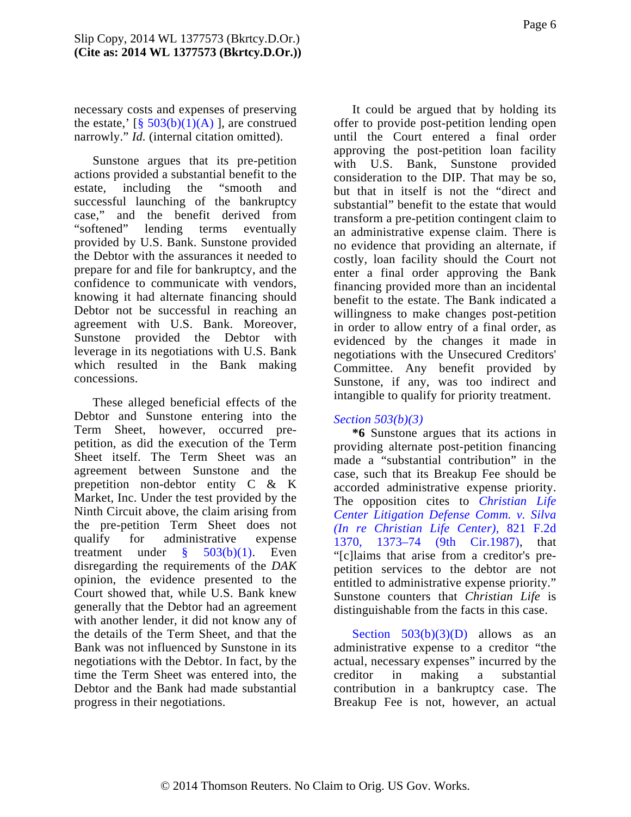necessary costs and expenses of preserving the estate,'  $\lceil \frac{8}{9} \cdot \frac{503(b)(1)(A)}{A} \rceil$ , are construed narrowly." *Id.* (internal citation omitted).

Sunstone argues that its pre-petition actions provided a substantial benefit to the estate, including the "smooth and successful launching of the bankruptcy case," and the benefit derived from "softened" lending terms eventually provided by U.S. Bank. Sunstone provided the Debtor with the assurances it needed to prepare for and file for bankruptcy, and the confidence to communicate with vendors, knowing it had alternate financing should Debtor not be successful in reaching an agreement with U.S. Bank. Moreover, Sunstone provided the Debtor with leverage in its negotiations with U.S. Bank which resulted in the Bank making concessions.

These alleged beneficial effects of the Debtor and Sunstone entering into the Term Sheet, however, occurred prepetition, as did the execution of the Term Sheet itself. The Term Sheet was an agreement between Sunstone and the prepetition non-debtor entity C & K Market, Inc. Under the test provided by the Ninth Circuit above, the claim arising from the pre-petition Term Sheet does not qualify for administrative expense treatment under [§ 503\(b\)](http://www.westlaw.com/Find/Default.wl?rs=dfa1.0&vr=2.0&DB=1000546&DocName=11USCAS503&FindType=L&ReferencePositionType=T&ReferencePosition=SP_3fed000053a85)(1). Even disregarding the requirements of the *DAK* opinion, the evidence presented to the Court showed that, while U.S. Bank knew generally that the Debtor had an agreement with another lender, it did not know any of the details of the Term Sheet, and that the Bank was not influenced by Sunstone in its negotiations with the Debtor. In fact, by the time the Term Sheet was entered into, the Debtor and the Bank had made substantial progress in their negotiations.

It could be argued that by holding its offer to provide post-petition lending open until the Court entered a final order approving the post-petition loan facility with U.S. Bank, Sunstone provided consideration to the DIP. That may be so, but that in itself is not the "direct and substantial" benefit to the estate that would transform a pre-petition contingent claim to an administrative expense claim. There is no evidence that providing an alternate, if costly, loan facility should the Court not enter a final order approving the Bank financing provided more than an incidental benefit to the estate. The Bank indicated a willingness to make changes post-petition in order to allow entry of a final order, as evidenced by the changes it made in negotiations with the Unsecured Creditors' Committee. Any benefit provided by Sunstone, if any, was too indirect and intangible to qualify for priority treatment.

### *[Section 503\(b\)\(3\)](http://www.westlaw.com/Find/Default.wl?rs=dfa1.0&vr=2.0&DB=1000546&DocName=11USCAS503&FindType=L&ReferencePositionType=T&ReferencePosition=SP_d801000002763)*

**\*6** Sunstone argues that its actions in providing alternate post-petition financing made a "substantial contribution" in the case, such that its Breakup Fee should be accorded administrative expense priority. The opposition cites to *[Christian Lif](http://www.westlaw.com/Find/Default.wl?rs=dfa1.0&vr=2.0&DB=350&FindType=Y&ReferencePositionType=S&SerialNum=1987086875&ReferencePosition=1373)e [Center Litigation Defense Comm. v. Silv](http://www.westlaw.com/Find/Default.wl?rs=dfa1.0&vr=2.0&DB=350&FindType=Y&ReferencePositionType=S&SerialNum=1987086875&ReferencePosition=1373)a [\(In re Christian Life Center\),](http://www.westlaw.com/Find/Default.wl?rs=dfa1.0&vr=2.0&DB=350&FindType=Y&ReferencePositionType=S&SerialNum=1987086875&ReferencePosition=1373)* 821 F.2d [1370, 1373–74 \(9th Ci](http://www.westlaw.com/Find/Default.wl?rs=dfa1.0&vr=2.0&DB=350&FindType=Y&ReferencePositionType=S&SerialNum=1987086875&ReferencePosition=1373)r.1987), that "[c]laims that arise from a creditor's prepetition services to the debtor are not entitled to administrative expense priority." Sunstone counters that *Christian Life* is distinguishable from the facts in this case.

Section  $503(b)(3)(D)$  allows as an administrative expense to a creditor "the actual, necessary expenses" incurred by the creditor in making a substantial contribution in a bankruptcy case. The Breakup Fee is not, however, an actual